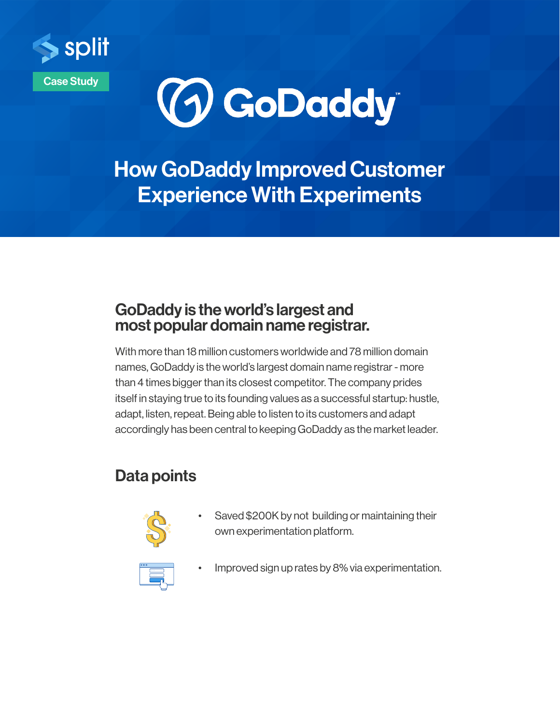



How GoDaddy Improved Customer Experience With Experiments

### GoDaddy is the world's largest and most popular domain name registrar.

With more than 18 million customers worldwide and 78 million domain names, GoDaddy is the world's largest domain name registrar - more than 4 times bigger than its closest competitor. The company prides itself in staying true to its founding values as a successful startup: hustle, adapt, listen, repeat. Being able to listen to its customers and adapt accordingly has been central to keeping GoDaddy as the market leader.

## Data points



Saved \$200K by not building or maintaining their own experimentation platform.



Improved sign up rates by 8% via experimentation.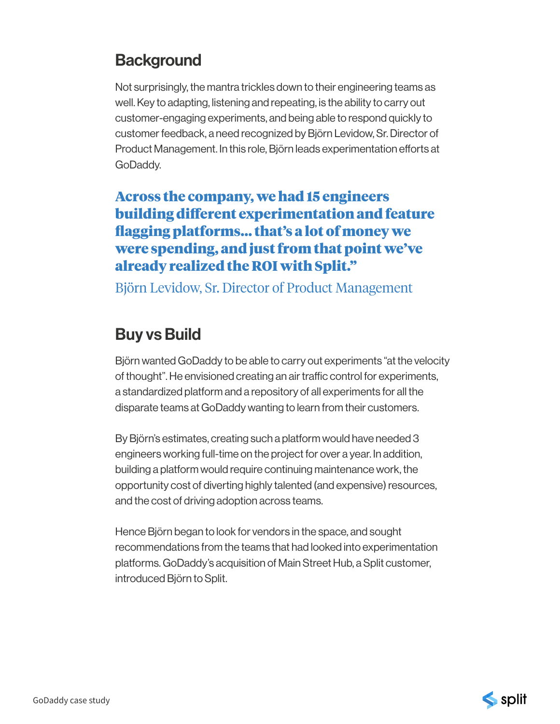## **Background**

Not surprisingly, the mantra trickles down to their engineering teams as well. Key to adapting, listening and repeating, is the ability to carry out customer-engaging experiments, and being able to respond quickly to customer feedback, a need recognized by Björn Levidow, Sr. Director of Product Management. In this role, Björn leads experimentation efforts at GoDaddy.

#### Across the company, we had 15 engineers building different experimentation and feature flagging platforms… that's a lot of money we were spending, and just from that point we've already realized the ROI with Split."

Björn Levidow, Sr. Director of Product Management

## Buy vs Build

Björn wanted GoDaddy to be able to carry out experiments "at the velocity of thought". He envisioned creating an air traffic control for experiments, a standardized platform and a repository of all experiments for all the disparate teams at GoDaddy wanting to learn from their customers.

By Björn's estimates, creating such a platform would have needed 3 engineers working full-time on the project for over a year. In addition, building a platform would require continuing maintenance work, the opportunity cost of diverting highly talented (and expensive) resources, and the cost of driving adoption across teams.

Hence Björn began to look for vendors in the space, and sought recommendations from the teams that had looked into experimentation platforms. GoDaddy's acquisition of Main Street Hub, a Split customer, introduced Björn to Split.

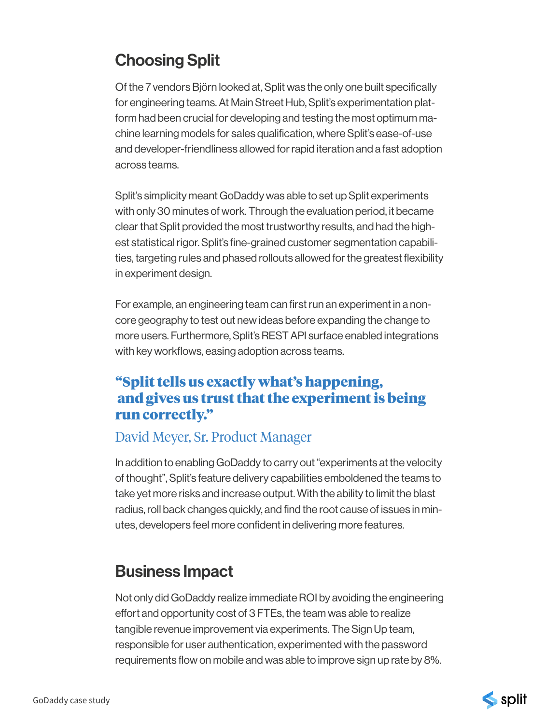# Choosing Split

Of the 7 vendors Björn looked at, Split was the only one built specifically for engineering teams. At Main Street Hub, Split's experimentation platform had been crucial for developing and testing the most optimum machine learning models for sales qualification, where Split's ease-of-use and developer-friendliness allowed for rapid iteration and a fast adoption across teams.

Split's simplicity meant GoDaddy was able to set up Split experiments with only 30 minutes of work. Through the evaluation period, it became clear that Split provided the most trustworthy results, and had the highest statistical rigor. Split's fine-grained customer segmentation capabilities, targeting rules and phased rollouts allowed for the greatest flexibility in experiment design.

For example, an engineering team can first run an experiment in a noncore geography to test out new ideas before expanding the change to more users. Furthermore, Split's REST API surface enabled integrations with key workflows, easing adoption across teams.

#### "Split tells us exactly what's happening, and gives us trust that the experiment is being run correctly."

#### David Meyer, Sr. Product Manager

In addition to enabling GoDaddy to carry out "experiments at the velocity of thought", Split's feature delivery capabilities emboldened the teams to take yet more risks and increase output. With the ability to limit the blast radius, roll back changes quickly, and find the root cause of issues in minutes, developers feel more confident in delivering more features.

## Business Impact

Not only did GoDaddy realize immediate ROI by avoiding the engineering effort and opportunity cost of 3 FTEs, the team was able to realize tangible revenue improvement via experiments. The Sign Up team, responsible for user authentication, experimented with the password requirements flow on mobile and was able to improve sign up rate by 8%.